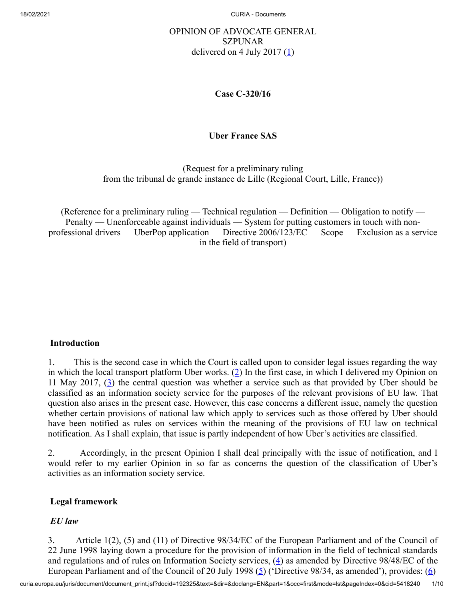# OPINION OF ADVOCATE GENERAL SZPUNAR delivered on 4 July 2017  $(1)$  $(1)$

### <span id="page-0-0"></span>**Case C‑320/16**

## **Uber France SAS**

(Request for a preliminary ruling from the tribunal de grande instance de Lille (Regional Court, Lille, France))

(Reference for a preliminary ruling — Technical regulation — Definition — Obligation to notify — Penalty — Unenforceable against individuals — System for putting customers in touch with nonprofessional drivers — UberPop application — Directive 2006/123/EC — Scope — Exclusion as a service in the field of transport)

## **Introduction**

<span id="page-0-2"></span><span id="page-0-1"></span>1. This is the second case in which the Court is called upon to consider legal issues regarding the way in which the local transport platform Uber works.  $(2)$  $(2)$  In the first case, in which I delivered my Opinion on 11 May 2017,  $(3)$  $(3)$  the central question was whether a service such as that provided by Uber should be classified as an information society service for the purposes of the relevant provisions of EU law. That question also arises in the present case. However, this case concerns a different issue, namely the question whether certain provisions of national law which apply to services such as those offered by Uber should have been notified as rules on services within the meaning of the provisions of EU law on technical notification. As I shall explain, that issue is partly independent of how Uber's activities are classified.

2. Accordingly, in the present Opinion I shall deal principally with the issue of notification, and I would refer to my earlier Opinion in so far as concerns the question of the classification of Uber's activities as an information society service.

## **Legal framework**

#### <span id="page-0-5"></span><span id="page-0-4"></span><span id="page-0-3"></span>*EU law*

3. Article 1(2), (5) and (11) of Directive 98/34/EC of the European Parliament and of the Council of 22 June 1998 laying down a procedure for the provision of information in the field of technical standards and regulations and of rules on Information Society services,  $(4)$  $(4)$  as amended by Directive 98/48/EC of the European Parliament and of the Council of 20 July 1998 ( $\overline{5}$ ) ('Directive 98/34, as amended'), provides: ( $\overline{6}$ )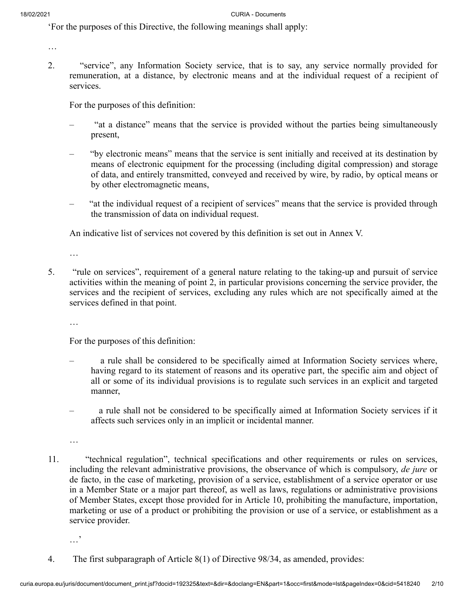'For the purposes of this Directive, the following meanings shall apply:

…

2. "service", any Information Society service, that is to say, any service normally provided for remuneration, at a distance, by electronic means and at the individual request of a recipient of services.

For the purposes of this definition:

- "at a distance" means that the service is provided without the parties being simultaneously present,
- "by electronic means" means that the service is sent initially and received at its destination by means of electronic equipment for the processing (including digital compression) and storage of data, and entirely transmitted, conveyed and received by wire, by radio, by optical means or by other electromagnetic means,
- "at the individual request of a recipient of services" means that the service is provided through the transmission of data on individual request.

An indicative list of services not covered by this definition is set out in Annex V.

…

5. "rule on services", requirement of a general nature relating to the taking-up and pursuit of service activities within the meaning of point 2, in particular provisions concerning the service provider, the services and the recipient of services, excluding any rules which are not specifically aimed at the services defined in that point.

…

For the purposes of this definition:

- a rule shall be considered to be specifically aimed at Information Society services where, having regard to its statement of reasons and its operative part, the specific aim and object of all or some of its individual provisions is to regulate such services in an explicit and targeted manner,
- a rule shall not be considered to be specifically aimed at Information Society services if it affects such services only in an implicit or incidental manner.

…

- 11. "technical regulation", technical specifications and other requirements or rules on services, including the relevant administrative provisions, the observance of which is compulsory, *de jure* or de facto, in the case of marketing, provision of a service, establishment of a service operator or use in a Member State or a major part thereof, as well as laws, regulations or administrative provisions of Member States, except those provided for in Article 10, prohibiting the manufacture, importation, marketing or use of a product or prohibiting the provision or use of a service, or establishment as a service provider.
	- …'
- 4. The first subparagraph of Article 8(1) of Directive 98/34, as amended, provides: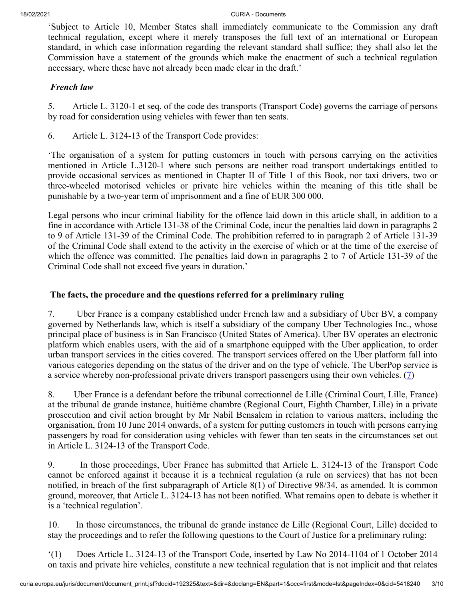'Subject to Article 10, Member States shall immediately communicate to the Commission any draft technical regulation, except where it merely transposes the full text of an international or European standard, in which case information regarding the relevant standard shall suffice; they shall also let the Commission have a statement of the grounds which make the enactment of such a technical regulation necessary, where these have not already been made clear in the draft.'

### *French law*

5. Article L. 3120-1 et seq. of the code des transports (Transport Code) governs the carriage of persons by road for consideration using vehicles with fewer than ten seats.

6. Article L. 3124-13 of the Transport Code provides:

'The organisation of a system for putting customers in touch with persons carrying on the activities mentioned in Article L.3120-1 where such persons are neither road transport undertakings entitled to provide occasional services as mentioned in Chapter II of Title 1 of this Book, nor taxi drivers, two or three-wheeled motorised vehicles or private hire vehicles within the meaning of this title shall be punishable by a two-year term of imprisonment and a fine of EUR 300 000.

Legal persons who incur criminal liability for the offence laid down in this article shall, in addition to a fine in accordance with Article 131-38 of the Criminal Code, incur the penalties laid down in paragraphs 2 to 9 of Article 131-39 of the Criminal Code. The prohibition referred to in paragraph 2 of Article 131-39 of the Criminal Code shall extend to the activity in the exercise of which or at the time of the exercise of which the offence was committed. The penalties laid down in paragraphs 2 to 7 of Article 131-39 of the Criminal Code shall not exceed five years in duration.'

### **The facts, the procedure and the questions referred for a preliminary ruling**

7. Uber France is a company established under French law and a subsidiary of Uber BV, a company governed by Netherlands law, which is itself a subsidiary of the company Uber Technologies Inc., whose principal place of business is in San Francisco (United States of America). Uber BV operates an electronic platform which enables users, with the aid of a smartphone equipped with the Uber application, to order urban transport services in the cities covered. The transport services offered on the Uber platform fall into various categories depending on the status of the driver and on the type of vehicle. The UberPop service is a service whereby non-professional private drivers transport passengers using their own vehicles. ([7\)](#page-8-0)

<span id="page-2-0"></span>8. Uber France is a defendant before the tribunal correctionnel de Lille (Criminal Court, Lille, France) at the tribunal de grande instance, huitième chambre (Regional Court, Eighth Chamber, Lille) in a private prosecution and civil action brought by Mr Nabil Bensalem in relation to various matters, including the organisation, from 10 June 2014 onwards, of a system for putting customers in touch with persons carrying passengers by road for consideration using vehicles with fewer than ten seats in the circumstances set out in Article L. 3124-13 of the Transport Code.

9. In those proceedings, Uber France has submitted that Article L. 3124-13 of the Transport Code cannot be enforced against it because it is a technical regulation (a rule on services) that has not been notified, in breach of the first subparagraph of Article 8(1) of Directive 98/34, as amended. It is common ground, moreover, that Article L. 3124-13 has not been notified. What remains open to debate is whether it is a 'technical regulation'.

10. In those circumstances, the tribunal de grande instance de Lille (Regional Court, Lille) decided to stay the proceedings and to refer the following questions to the Court of Justice for a preliminary ruling:

'(1) Does Article L. 3124-13 of the Transport Code, inserted by Law No 2014-1104 of 1 October 2014 on taxis and private hire vehicles, constitute a new technical regulation that is not implicit and that relates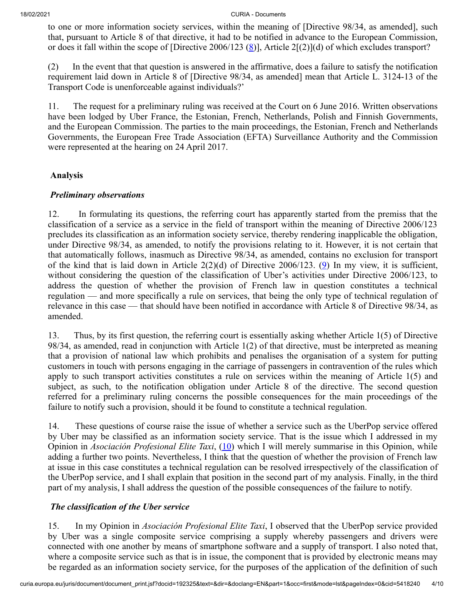<span id="page-3-0"></span>to one or more information society services, within the meaning of [Directive 98/34, as amended], such that, pursuant to Article 8 of that directive, it had to be notified in advance to the European Commission, or does it fall within the scope of [Directive 2006/123 [\(8](#page-8-1))], Article 2[(2)](d) of which excludes transport?

(2) In the event that that question is answered in the affirmative, does a failure to satisfy the notification requirement laid down in Article 8 of [Directive 98/34, as amended] mean that Article L. 3124-13 of the Transport Code is unenforceable against individuals?'

11. The request for a preliminary ruling was received at the Court on 6 June 2016. Written observations have been lodged by Uber France, the Estonian, French, Netherlands, Polish and Finnish Governments, and the European Commission. The parties to the main proceedings, the Estonian, French and Netherlands Governments, the European Free Trade Association (EFTA) Surveillance Authority and the Commission were represented at the hearing on 24 April 2017.

## **Analysis**

#### *Preliminary observations*

<span id="page-3-1"></span>12. In formulating its questions, the referring court has apparently started from the premiss that the classification of a service as a service in the field of transport within the meaning of Directive 2006/123 precludes its classification as an information society service, thereby rendering inapplicable the obligation, under Directive 98/34, as amended, to notify the provisions relating to it. However, it is not certain that that automatically follows, inasmuch as Directive 98/34, as amended, contains no exclusion for transport of the kind that is laid down in Article  $2(2)(d)$  of Directive 2006/123. [\(9](#page-8-2)) In my view, it is sufficient, without considering the question of the classification of Uber's activities under Directive 2006/123, to address the question of whether the provision of French law in question constitutes a technical regulation — and more specifically a rule on services, that being the only type of technical regulation of relevance in this case — that should have been notified in accordance with Article 8 of Directive 98/34, as amended.

13. Thus, by its first question, the referring court is essentially asking whether Article 1(5) of Directive 98/34, as amended, read in conjunction with Article 1(2) of that directive, must be interpreted as meaning that a provision of national law which prohibits and penalises the organisation of a system for putting customers in touch with persons engaging in the carriage of passengers in contravention of the rules which apply to such transport activities constitutes a rule on services within the meaning of Article 1(5) and subject, as such, to the notification obligation under Article 8 of the directive. The second question referred for a preliminary ruling concerns the possible consequences for the main proceedings of the failure to notify such a provision, should it be found to constitute a technical regulation.

<span id="page-3-2"></span>14. These questions of course raise the issue of whether a service such as the UberPop service offered by Uber may be classified as an information society service. That is the issue which I addressed in my Opinion in *Asociación Profesional Elite Taxi*, [\(10](#page-8-3)) which I will merely summarise in this Opinion, while adding a further two points. Nevertheless, I think that the question of whether the provision of French law at issue in this case constitutes a technical regulation can be resolved irrespectively of the classification of the UberPop service, and I shall explain that position in the second part of my analysis. Finally, in the third part of my analysis, I shall address the question of the possible consequences of the failure to notify.

## *The classification of the Uber service*

15. In my Opinion in *Asociación Profesional Elite Taxi*, I observed that the UberPop service provided by Uber was a single composite service comprising a supply whereby passengers and drivers were connected with one another by means of smartphone software and a supply of transport. I also noted that, where a composite service such as that is in issue, the component that is provided by electronic means may be regarded as an information society service, for the purposes of the application of the definition of such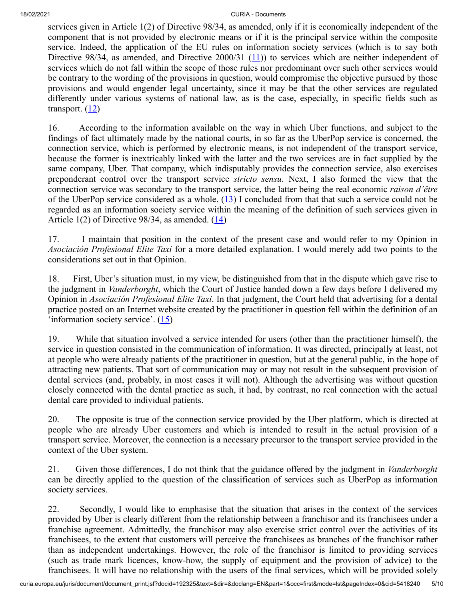<span id="page-4-0"></span>services given in Article 1(2) of Directive 98/34, as amended, only if it is economically independent of the component that is not provided by electronic means or if it is the principal service within the composite service. Indeed, the application of the EU rules on information society services (which is to say both Directive 98/34, as amended, and Directive 2000/31  $(11)$ ) to services which are neither independent of services which do not fall within the scope of those rules nor predominant over such other services would be contrary to the wording of the provisions in question, would compromise the objective pursued by those provisions and would engender legal uncertainty, since it may be that the other services are regulated differently under various systems of national law, as is the case, especially, in specific fields such as transport.  $(12)$  $(12)$  $(12)$ 

<span id="page-4-1"></span>16. According to the information available on the way in which Uber functions, and subject to the findings of fact ultimately made by the national courts, in so far as the UberPop service is concerned, the connection service, which is performed by electronic means, is not independent of the transport service, because the former is inextricably linked with the latter and the two services are in fact supplied by the same company, Uber. That company, which indisputably provides the connection service, also exercises preponderant control over the transport service *stricto sensu*. Next, I also formed the view that the connection service was secondary to the transport service, the latter being the real economic *raison d'être* of the UberPop service considered as a whole.  $(13)$  $(13)$  I concluded from that that such a service could not be regarded as an information society service within the meaning of the definition of such services given in Article 1(2) of Directive 98/34, as amended.  $(14)$  $(14)$ 

<span id="page-4-3"></span><span id="page-4-2"></span>17. I maintain that position in the context of the present case and would refer to my Opinion in *Asociación Profesional Elite Taxi* for a more detailed explanation. I would merely add two points to the considerations set out in that Opinion.

18. First, Uber's situation must, in my view, be distinguished from that in the dispute which gave rise to the judgment in *Vanderborght*, which the Court of Justice handed down a few days before I delivered my Opinion in *Asociación Profesional Elite Taxi*. In that judgment, the Court held that advertising for a dental practice posted on an Internet website created by the practitioner in question fell within the definition of an 'information society service'.  $(15)$  $(15)$ 

<span id="page-4-4"></span>19. While that situation involved a service intended for users (other than the practitioner himself), the service in question consisted in the communication of information. It was directed, principally at least, not at people who were already patients of the practitioner in question, but at the general public, in the hope of attracting new patients. That sort of communication may or may not result in the subsequent provision of dental services (and, probably, in most cases it will not). Although the advertising was without question closely connected with the dental practice as such, it had, by contrast, no real connection with the actual dental care provided to individual patients.

20. The opposite is true of the connection service provided by the Uber platform, which is directed at people who are already Uber customers and which is intended to result in the actual provision of a transport service. Moreover, the connection is a necessary precursor to the transport service provided in the context of the Uber system.

21. Given those differences, I do not think that the guidance offered by the judgment in *Vanderborght* can be directly applied to the question of the classification of services such as UberPop as information society services.

22. Secondly, I would like to emphasise that the situation that arises in the context of the services provided by Uber is clearly different from the relationship between a franchisor and its franchisees under a franchise agreement. Admittedly, the franchisor may also exercise strict control over the activities of its franchisees, to the extent that customers will perceive the franchisees as branches of the franchisor rather than as independent undertakings. However, the role of the franchisor is limited to providing services (such as trade mark licences, know-how, the supply of equipment and the provision of advice) to the franchisees. It will have no relationship with the users of the final services, which will be provided solely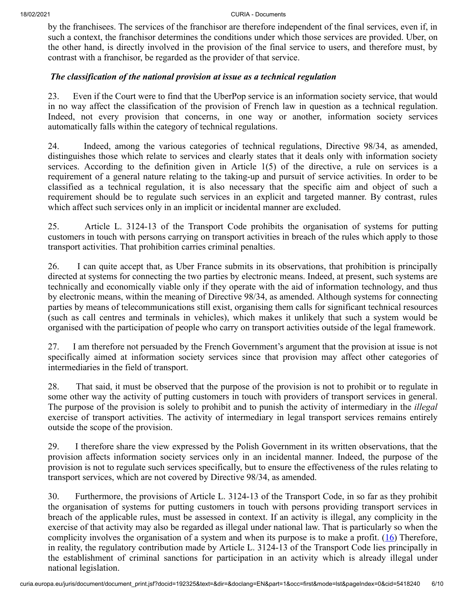by the franchisees. The services of the franchisor are therefore independent of the final services, even if, in such a context, the franchisor determines the conditions under which those services are provided. Uber, on the other hand, is directly involved in the provision of the final service to users, and therefore must, by contrast with a franchisor, be regarded as the provider of that service.

### *The classification of the national provision at issue as a technical regulation*

23. Even if the Court were to find that the UberPop service is an information society service, that would in no way affect the classification of the provision of French law in question as a technical regulation. Indeed, not every provision that concerns, in one way or another, information society services automatically falls within the category of technical regulations.

24. Indeed, among the various categories of technical regulations, Directive 98/34, as amended, distinguishes those which relate to services and clearly states that it deals only with information society services. According to the definition given in Article 1(5) of the directive, a rule on services is a requirement of a general nature relating to the taking-up and pursuit of service activities. In order to be classified as a technical regulation, it is also necessary that the specific aim and object of such a requirement should be to regulate such services in an explicit and targeted manner. By contrast, rules which affect such services only in an implicit or incidental manner are excluded.

25. Article L. 3124-13 of the Transport Code prohibits the organisation of systems for putting customers in touch with persons carrying on transport activities in breach of the rules which apply to those transport activities. That prohibition carries criminal penalties.

26. I can quite accept that, as Uber France submits in its observations, that prohibition is principally directed at systems for connecting the two parties by electronic means. Indeed, at present, such systems are technically and economically viable only if they operate with the aid of information technology, and thus by electronic means, within the meaning of Directive 98/34, as amended. Although systems for connecting parties by means of telecommunications still exist, organising them calls for significant technical resources (such as call centres and terminals in vehicles), which makes it unlikely that such a system would be organised with the participation of people who carry on transport activities outside of the legal framework.

27. I am therefore not persuaded by the French Government's argument that the provision at issue is not specifically aimed at information society services since that provision may affect other categories of intermediaries in the field of transport.

28. That said, it must be observed that the purpose of the provision is not to prohibit or to regulate in some other way the activity of putting customers in touch with providers of transport services in general. The purpose of the provision is solely to prohibit and to punish the activity of intermediary in the *illegal* exercise of transport activities. The activity of intermediary in legal transport services remains entirely outside the scope of the provision.

29. I therefore share the view expressed by the Polish Government in its written observations, that the provision affects information society services only in an incidental manner. Indeed, the purpose of the provision is not to regulate such services specifically, but to ensure the effectiveness of the rules relating to transport services, which are not covered by Directive 98/34, as amended.

<span id="page-5-0"></span>30. Furthermore, the provisions of Article L. 3124-13 of the Transport Code, in so far as they prohibit the organisation of systems for putting customers in touch with persons providing transport services in breach of the applicable rules, must be assessed in context. If an activity is illegal, any complicity in the exercise of that activity may also be regarded as illegal under national law. That is particularly so when the complicity involves the organisation of a system and when its purpose is to make a profit.  $(16)$  $(16)$  Therefore, in reality, the regulatory contribution made by Article L. 3124-13 of the Transport Code lies principally in the establishment of criminal sanctions for participation in an activity which is already illegal under national legislation.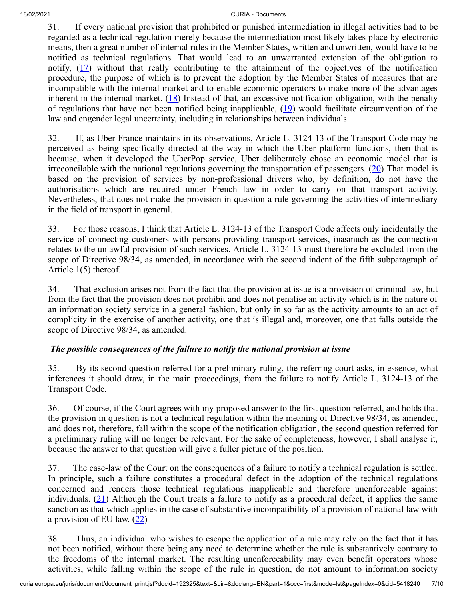<span id="page-6-0"></span>31. If every national provision that prohibited or punished intermediation in illegal activities had to be regarded as a technical regulation merely because the intermediation most likely takes place by electronic means, then a great number of internal rules in the Member States, written and unwritten, would have to be notified as technical regulations. That would lead to an unwarranted extension of the obligation to notify, ([17\)](#page-8-10) without that really contributing to the attainment of the objectives of the notification procedure, the purpose of which is to prevent the adoption by the Member States of measures that are incompatible with the internal market and to enable economic operators to make more of the advantages inherent in the internal market.  $(18)$  $(18)$  Instead of that, an excessive notification obligation, with the penalty of regulations that have not been notified being inapplicable, ([19\)](#page-8-12) would facilitate circumvention of the law and engender legal uncertainty, including in relationships between individuals.

<span id="page-6-3"></span><span id="page-6-2"></span><span id="page-6-1"></span>32. If, as Uber France maintains in its observations, Article L. 3124-13 of the Transport Code may be perceived as being specifically directed at the way in which the Uber platform functions, then that is because, when it developed the UberPop service, Uber deliberately chose an economic model that is irreconcilable with the national regulations governing the transportation of passengers.  $(20)$  $(20)$  That model is based on the provision of services by non-professional drivers who, by definition, do not have the authorisations which are required under French law in order to carry on that transport activity. Nevertheless, that does not make the provision in question a rule governing the activities of intermediary in the field of transport in general.

33. For those reasons, I think that Article L. 3124-13 of the Transport Code affects only incidentally the service of connecting customers with persons providing transport services, inasmuch as the connection relates to the unlawful provision of such services. Article L. 3124-13 must therefore be excluded from the scope of Directive 98/34, as amended, in accordance with the second indent of the fifth subparagraph of Article 1(5) thereof.

34. That exclusion arises not from the fact that the provision at issue is a provision of criminal law, but from the fact that the provision does not prohibit and does not penalise an activity which is in the nature of an information society service in a general fashion, but only in so far as the activity amounts to an act of complicity in the exercise of another activity, one that is illegal and, moreover, one that falls outside the scope of Directive 98/34, as amended.

## *The possible consequences of the failure to notify the national provision at issue*

35. By its second question referred for a preliminary ruling, the referring court asks, in essence, what inferences it should draw, in the main proceedings, from the failure to notify Article L. 3124-13 of the Transport Code.

36. Of course, if the Court agrees with my proposed answer to the first question referred, and holds that the provision in question is not a technical regulation within the meaning of Directive 98/34, as amended, and does not, therefore, fall within the scope of the notification obligation, the second question referred for a preliminary ruling will no longer be relevant. For the sake of completeness, however, I shall analyse it, because the answer to that question will give a fuller picture of the position.

<span id="page-6-4"></span>37. The case-law of the Court on the consequences of a failure to notify a technical regulation is settled. In principle, such a failure constitutes a procedural defect in the adoption of the technical regulations concerned and renders those technical regulations inapplicable and therefore unenforceable against individuals.  $(21)$  $(21)$  Although the Court treats a failure to notify as a procedural defect, it applies the same sanction as that which applies in the case of substantive incompatibility of a provision of national law with a provision of EU law.  $(22)$  $(22)$ 

<span id="page-6-5"></span>38. Thus, an individual who wishes to escape the application of a rule may rely on the fact that it has not been notified, without there being any need to determine whether the rule is substantively contrary to the freedoms of the internal market. The resulting unenforceability may even benefit operators whose activities, while falling within the scope of the rule in question, do not amount to information society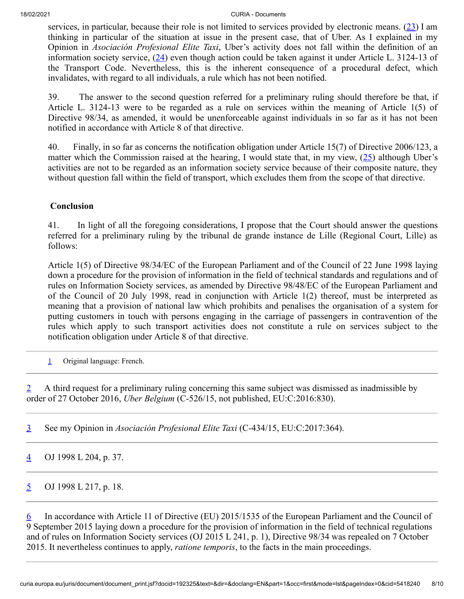<span id="page-7-7"></span><span id="page-7-6"></span>services, in particular, because their role is not limited to services provided by electronic means. ([23\)](#page-9-0) I am thinking in particular of the situation at issue in the present case, that of Uber. As I explained in my Opinion in *Asociación Profesional Elite Taxi*, Uber's activity does not fall within the definition of an information society service,  $(24)$  $(24)$  even though action could be taken against it under Article L. 3124-13 of the Transport Code. Nevertheless, this is the inherent consequence of a procedural defect, which invalidates, with regard to all individuals, a rule which has not been notified.

39. The answer to the second question referred for a preliminary ruling should therefore be that, if Article L. 3124-13 were to be regarded as a rule on services within the meaning of Article 1(5) of Directive 98/34, as amended, it would be unenforceable against individuals in so far as it has not been notified in accordance with Article 8 of that directive.

<span id="page-7-8"></span>40. Finally, in so far as concerns the notification obligation under Article 15(7) of Directive 2006/123, a matter which the Commission raised at the hearing, I would state that, in my view,  $(25)$  $(25)$  although Uber's activities are not to be regarded as an information society service because of their composite nature, they without question fall within the field of transport, which excludes them from the scope of that directive.

#### **Conclusion**

41. In light of all the foregoing considerations, I propose that the Court should answer the questions referred for a preliminary ruling by the tribunal de grande instance de Lille (Regional Court, Lille) as follows:

Article 1(5) of Directive 98/34/EC of the European Parliament and of the Council of 22 June 1998 laying down a procedure for the provision of information in the field of technical standards and regulations and of rules on Information Society services, as amended by Directive 98/48/EC of the European Parliament and of the Council of 20 July 1998, read in conjunction with Article 1(2) thereof, must be interpreted as meaning that a provision of national law which prohibits and penalises the organisation of a system for putting customers in touch with persons engaging in the carriage of passengers in contravention of the rules which apply to such transport activities does not constitute a rule on services subject to the notification obligation under Article 8 of that directive.

<span id="page-7-0"></span>[1](#page-0-0) Original language: French.

<span id="page-7-1"></span>[2](#page-0-1) A third request for a preliminary ruling concerning this same subject was dismissed as inadmissible by order of 27 October 2016, *Uber Belgium* (C‑526/15, not published, EU:C:2016:830).

<span id="page-7-2"></span>[3](#page-0-2) See my Opinion in *Asociación Profesional Elite Taxi* (C‑434/15, EU:C:2017:364).

<span id="page-7-3"></span> $\frac{4}{1}$  $\frac{4}{1}$  $\frac{4}{1}$  OJ 1998 L 204, p. 37.

<span id="page-7-4"></span> $5$  OJ 1998 L 217, p. 18.

<span id="page-7-5"></span>[6](#page-0-5) In accordance with Article 11 of Directive (EU) 2015/1535 of the European Parliament and the Council of 9 September 2015 laying down a procedure for the provision of information in the field of technical regulations and of rules on Information Society services (OJ 2015 L 241, p. 1), Directive 98/34 was repealed on 7 October 2015. It nevertheless continues to apply, *ratione temporis*, to the facts in the main proceedings.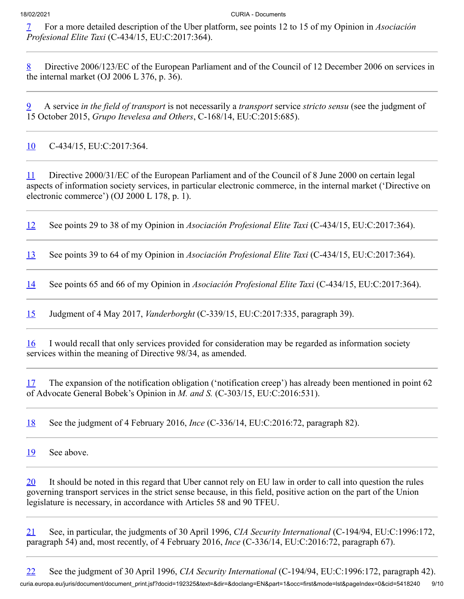<span id="page-8-0"></span>[7](#page-2-0) For a more detailed description of the Uber platform, see points 12 to 15 of my Opinion in *Asociación Profesional Elite Taxi* (C‑434/15, EU:C:2017:364).

<span id="page-8-1"></span>[8](#page-3-0) Directive 2006/123/EC of the European Parliament and of the Council of 12 December 2006 on services in the internal market (OJ 2006 L 376, p. 36).

<span id="page-8-2"></span>[9](#page-3-1) A service *in the field of transport* is not necessarily a *transport* service *stricto sensu* (see the judgment of 15 October 2015, *Grupo Itevelesa and Others*, C‑168/14, EU:C:2015:685).

<span id="page-8-3"></span>[10](#page-3-2) C-434/15, EU:C:2017:364.

<span id="page-8-4"></span>[11](#page-4-0) Directive 2000/31/EC of the European Parliament and of the Council of 8 June 2000 on certain legal aspects of information society services, in particular electronic commerce, in the internal market ('Directive on electronic commerce') (OJ 2000 L 178, p. 1).

<span id="page-8-5"></span>[12](#page-4-1) See points 29 to 38 of my Opinion in *Asociación Profesional Elite Taxi* (C‑434/15, EU:C:2017:364).

<span id="page-8-6"></span>[13](#page-4-2) See points 39 to 64 of my Opinion in *Asociación Profesional Elite Taxi* (C‑434/15, EU:C:2017:364).

<span id="page-8-7"></span>[14](#page-4-3) See points 65 and 66 of my Opinion in *Asociación Profesional Elite Taxi* (C‑434/15, EU:C:2017:364).

<span id="page-8-8"></span>[15](#page-4-4) Judgment of 4 May 2017, *Vanderborght* (C‑339/15, EU:C:2017:335, paragraph 39).

<span id="page-8-9"></span>[16](#page-5-0) I would recall that only services provided for consideration may be regarded as information society services within the meaning of Directive 98/34, as amended.

<span id="page-8-10"></span>[17](#page-6-0) The expansion of the notification obligation ('notification creep') has already been mentioned in point 62 of Advocate General Bobek's Opinion in *M. and S.* (C‑303/15, EU:C:2016:531).

<span id="page-8-11"></span>[18](#page-6-1) See the judgment of 4 February 2016, *Ince* (C‑336/14, EU:C:2016:72, paragraph 82).

<span id="page-8-12"></span>[19](#page-6-2) See above.

<span id="page-8-13"></span> $20$  It should be noted in this regard that Uber cannot rely on EU law in order to call into question the rules governing transport services in the strict sense because, in this field, positive action on the part of the Union legislature is necessary, in accordance with Articles 58 and 90 TFEU.

<span id="page-8-14"></span>[21](#page-6-4) See, in particular, the judgments of 30 April 1996, *CIA Security International* (C‑194/94, EU:C:1996:172, paragraph 54) and, most recently, of 4 February 2016, *Ince* (C‑336/14, EU:C:2016:72, paragraph 67).

<span id="page-8-15"></span>curia.europa.eu/juris/document/document\_print.jsf?docid=192325&text=&dir=&doclang=EN&part=1&occ=first&mode=lst&pageIndex=0&cid=5418240 9/10 [22](#page-6-5) See the judgment of 30 April 1996, *CIA Security International* (C‑194/94, EU:C:1996:172, paragraph 42).